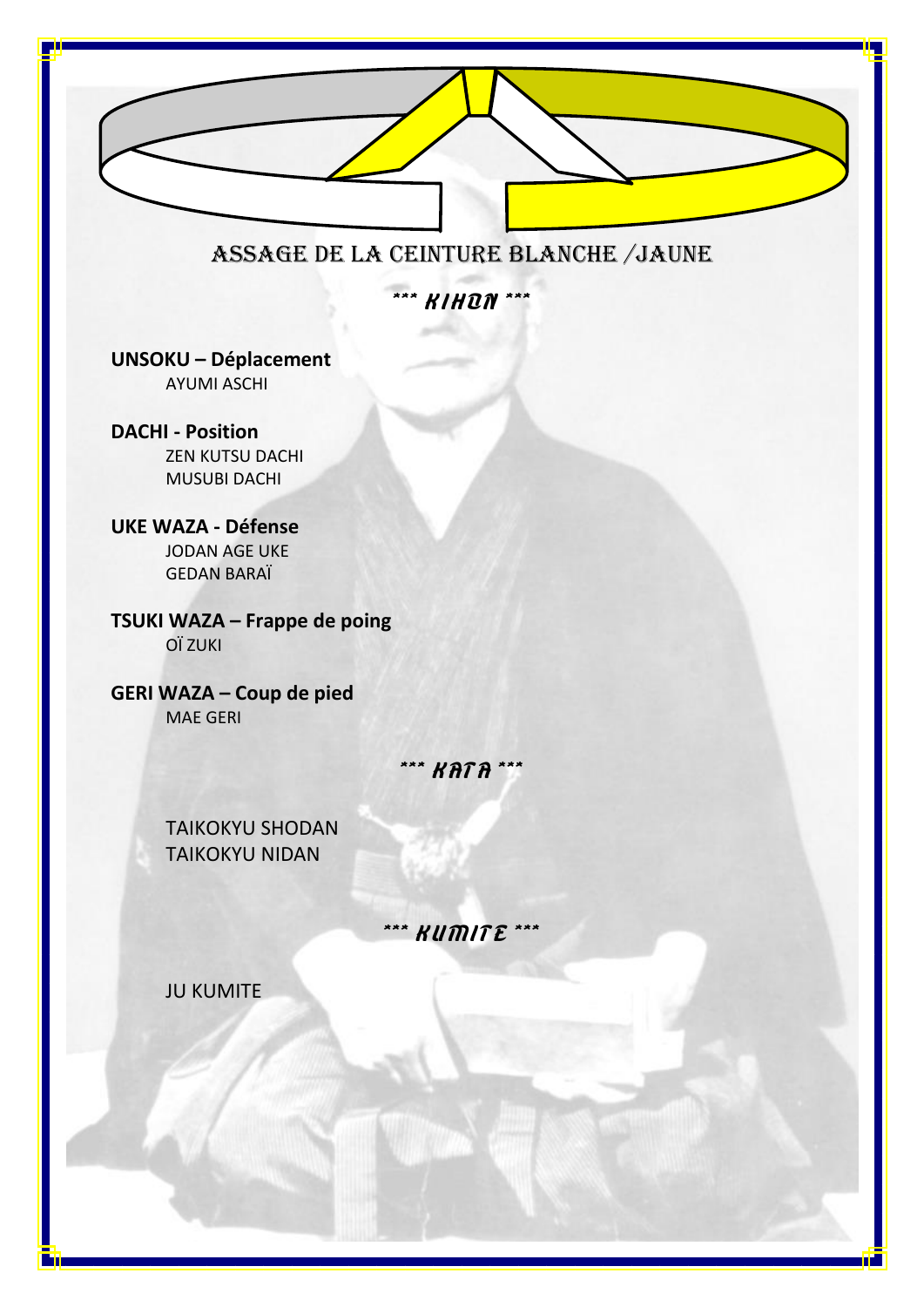

# ASSAGE DE LA CEINTURE Blanche /JAUNE

\*\*\* **KIHON** \*\*\*

**UNSOKU – Déplacement** AYUMI ASCHI

**DACHI - Position** ZEN KUTSU DACHI MUSUBI DACHI

**UKE WAZA - Défense** JODAN AGE UKE GEDAN BARAÏ

**TSUKI WAZA – Frappe de poing** OÏ ZUKI

**GERI WAZA – Coup de pied** MAE GERI

## \*\*\* **KATA** \*\*\*

TAIKOKYU SHODAN TAIKOKYU NIDAN

# \*\*\* **KUMITE** \*\*\*

JU KUMITE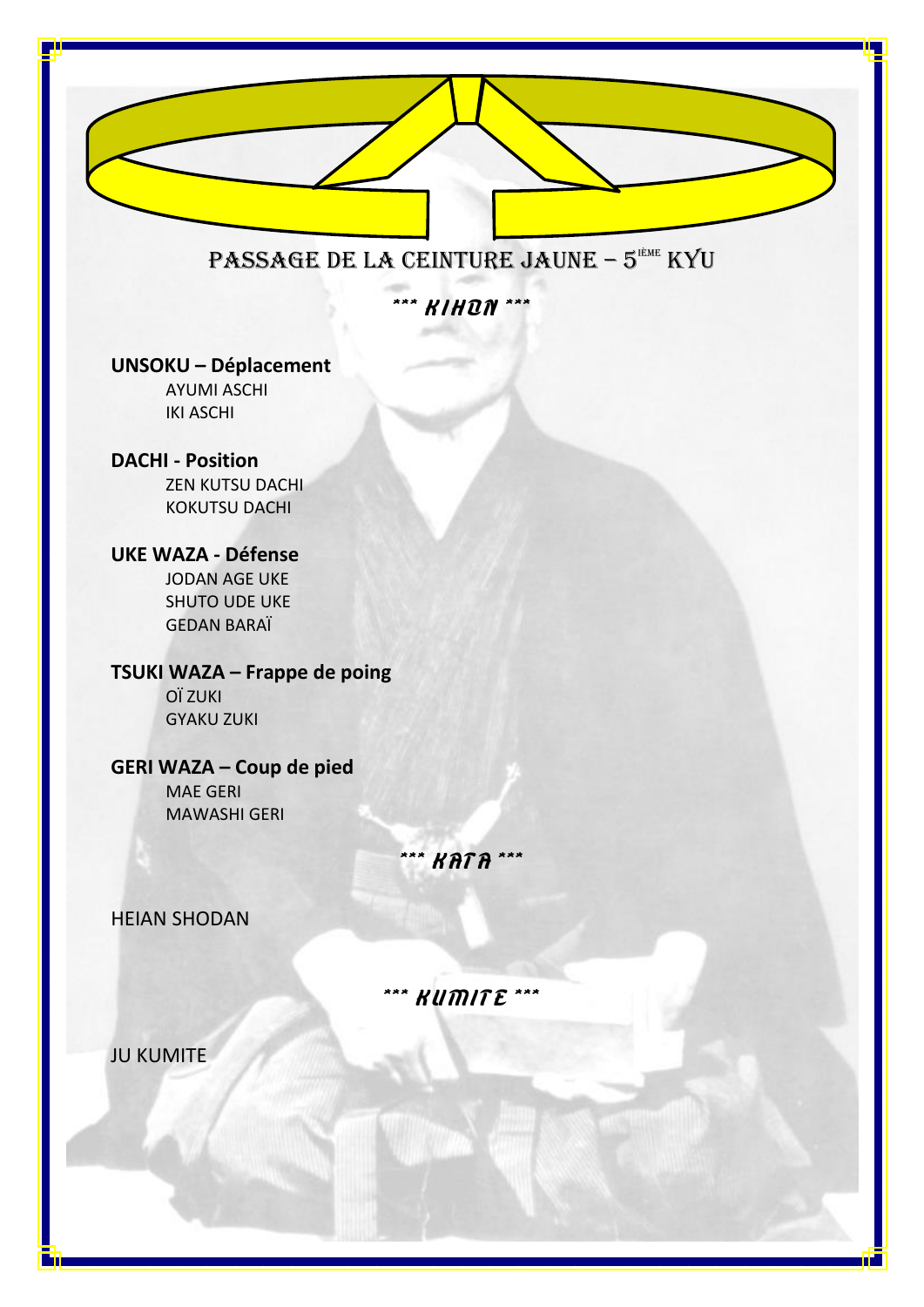

**UNSOKU – Déplacement** 

**AYUMI ASCHI IKI ASCHI** 

#### **DACHI - Position**

**ZEN KUTSU DACHI KOKUTSU DACHI** 

#### **UKE WAZA - Défense**

**JODAN AGE UKE SHUTO UDE UKE GEDAN BARAÏ** 

## TSUKI WAZA - Frappe de poing

OÏ ZUKI **GYAKU ZUKI** 

#### **GERI WAZA - Coup de pied**

**MAE GERI MAWASHI GERI** 

\*\*\* **KATA** \*\*\*

**HEIAN SHODAN** 

\*\*\* **KUMITE** \*\*

**JU KUMITE**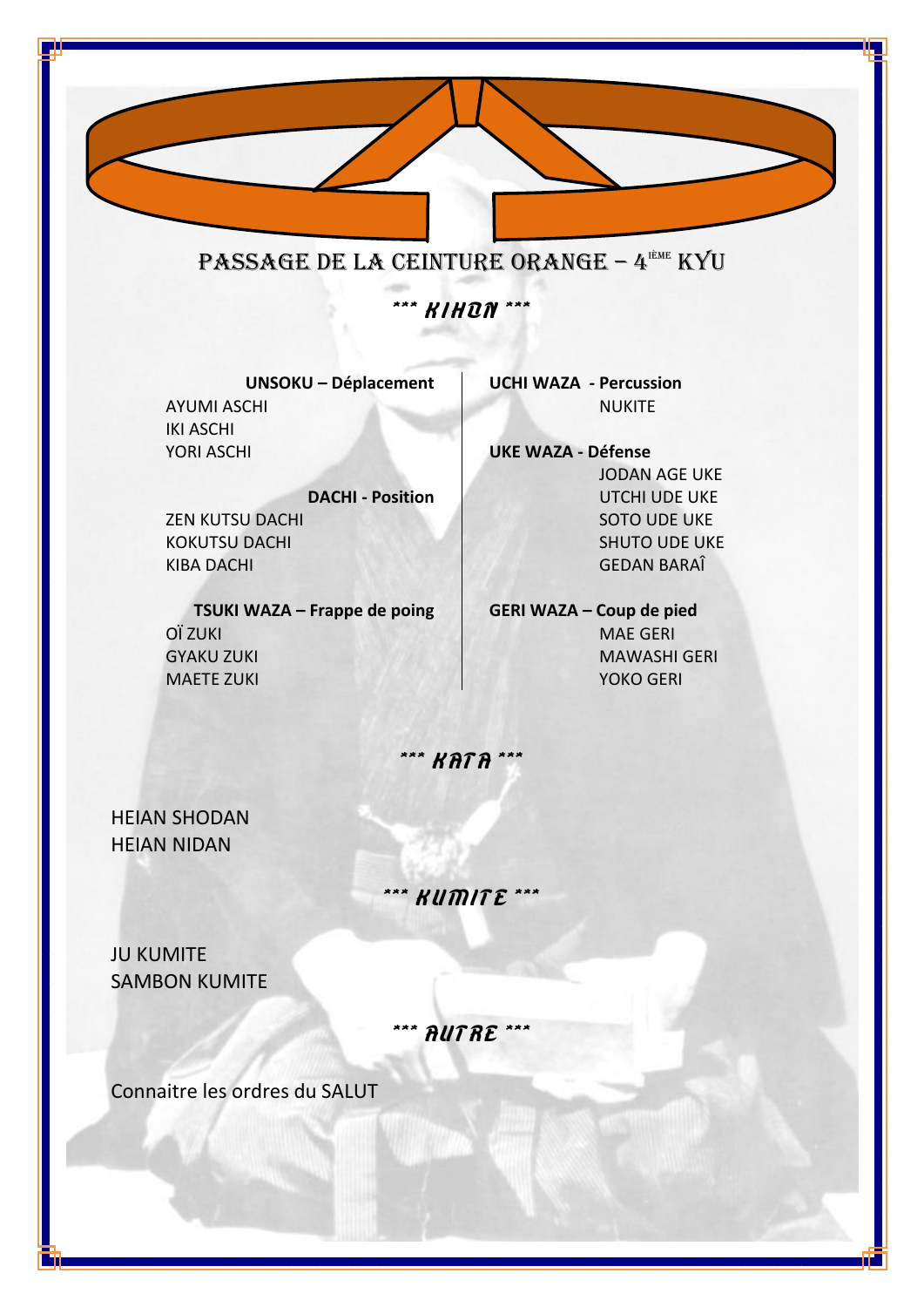

**UNSOKU - Déplacement AYUMI ASCHI IKI ASCHI** YORI ASCHI

**UCHI WAZA - Percussion NUKITE** 

**DACHI - Position ZEN KUTSU DACHI KOKUTSU DACHI KIBA DACHI** 

TSUKI WAZA - Frappe de poing OÏ ZUKI **GYAKU ZUKI MAETE ZUKI** 

**UKE WAZA - Défense JODAN AGE UKE UTCHI UDE UKE SOTO UDE UKE SHUTO UDE UKE GEDAN BARAÎ** 

**GERI WAZA - Coup de pied MAE GERI MAWASHI GERI** YOKO GERI

\*\*\* **KATA** \*\*\*

**HEIAN SHODAN HEIAN NIDAN** 

a bir

\*\*\* **KUMITE** \*\*\*

**JU KUMITE SAMBON KUMITE** 

\*\*\* AUTRE \*\*\*

Connaitre les ordres du SALUT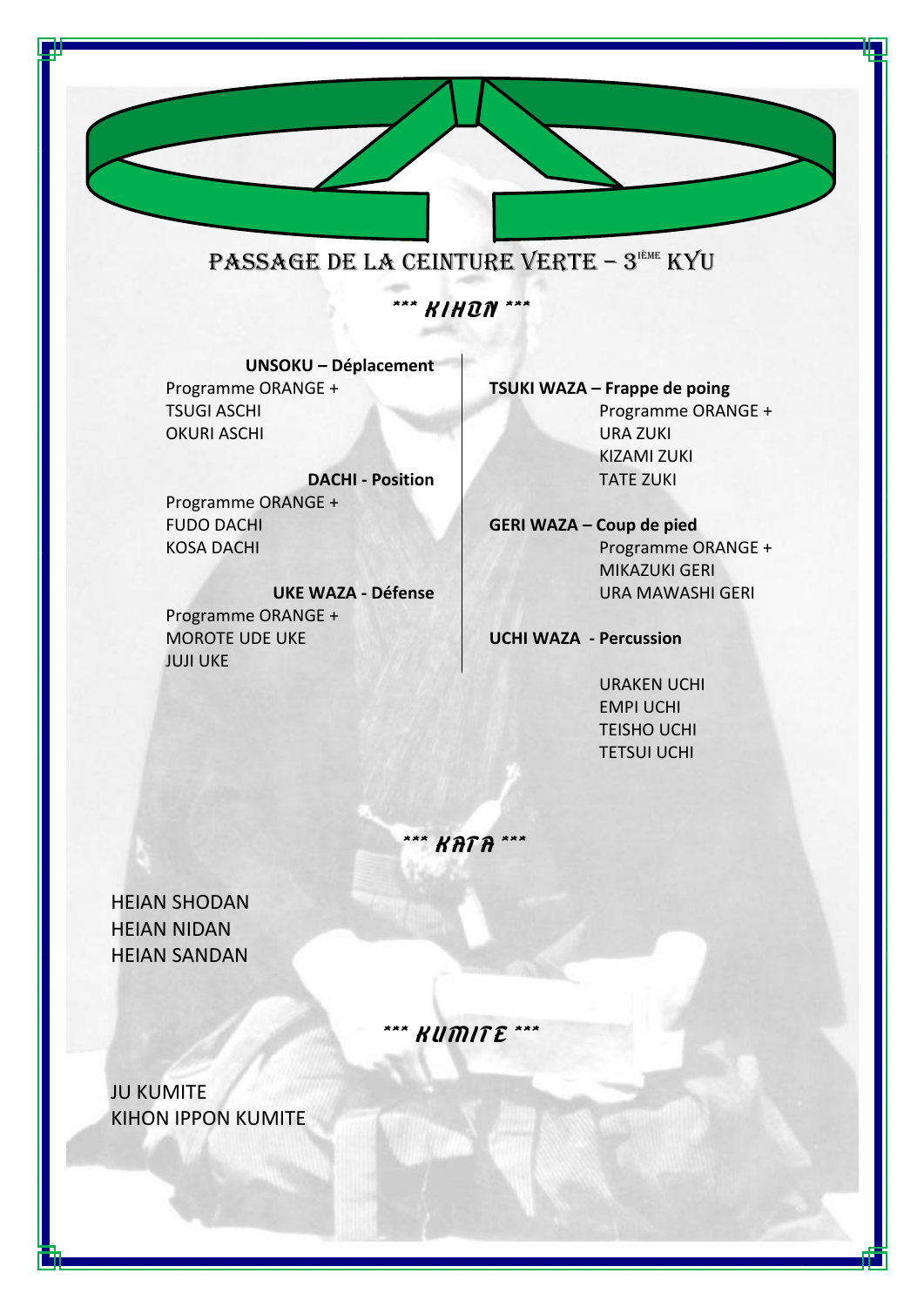

**UNSOKU – Déplacement** Programme ORANGE + TSUGI ASCHI OKURI ASCHI

**DACHI - Position** Programme ORANGE + FUDO DACHI KOSA DACHI

**UKE WAZA - Défense** Programme ORANGE + MOROTE UDE UKE JUJI UKE

**TSUKI WAZA – Frappe de poing** Programme ORANGE + URA ZUKI KIZAMI ZUKI TATE ZUKI

**GERI WAZA – Coup de pied** Programme ORANGE + MIKAZUKI GERI URA MAWASHI GERI

**UCHI WAZA - Percussion**

URAKEN UCHI EMPI UCHI TEISHO UCHI TETSUI UCHI

\*\*\* KATA \*\*

HEIAN SHODAN HEIAN NIDAN HEIAN SANDAN

 $KU\widehat{m}$ ITE

JU KUMITE KIHON IPPON KUMITE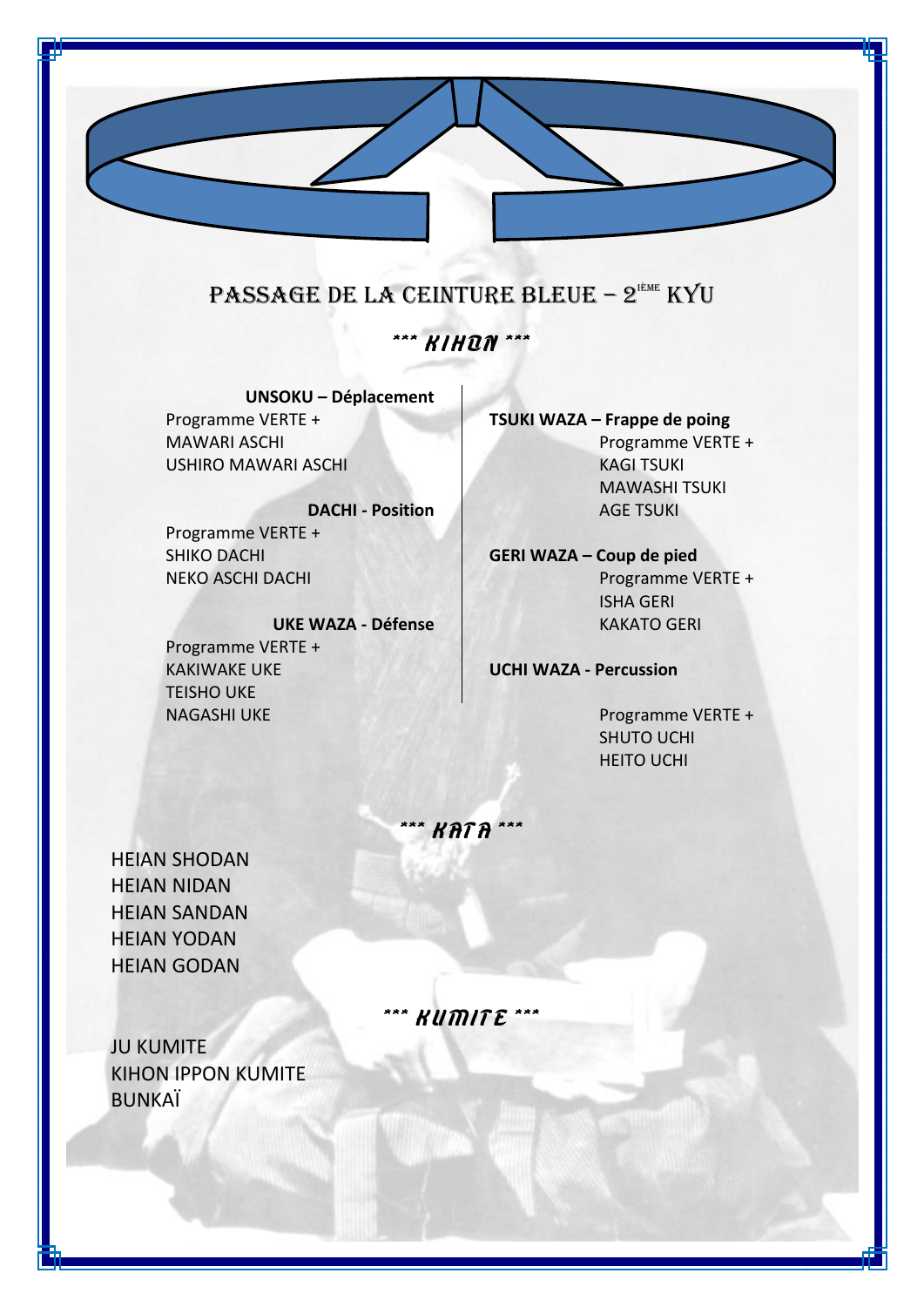## PASSAGE DE LA CEINTURE BLEUE - 2<sup>'ème</sup> KYU

### \*\*\* **KIHON** \*\*\*

**UNSOKU – Déplacement** Programme VERTE + MAWARI ASCHI USHIRO MAWARI ASCHI

**DACHI - Position** Programme VERTE + SHIKO DACHI NEKO ASCHI DACHI

**UKE WAZA - Défense** Programme VERTE + KAKIWAKE UKE TEISHO UKE NAGASHI UKE Programme VERTE +

**TSUKI WAZA – Frappe de poing** Programme VERTE + KAGI TSUKI MAWASHI TSUKI AGE TSUKI

**GERI WAZA – Coup de pied** Programme VERTE + ISHA GERI KAKATO GERI

**UCHI WAZA - Percussion**

SHUTO UCHI HEITO UCHI

\*\* KATA

HEIAN SHODAN HEIAN NIDAN HEIAN SANDAN HEIAN YODAN HEIAN GODAN

\*\*\* KUMITE \*\*\*

JU KUMITE KIHON IPPON KUMITE BUNKAÏ